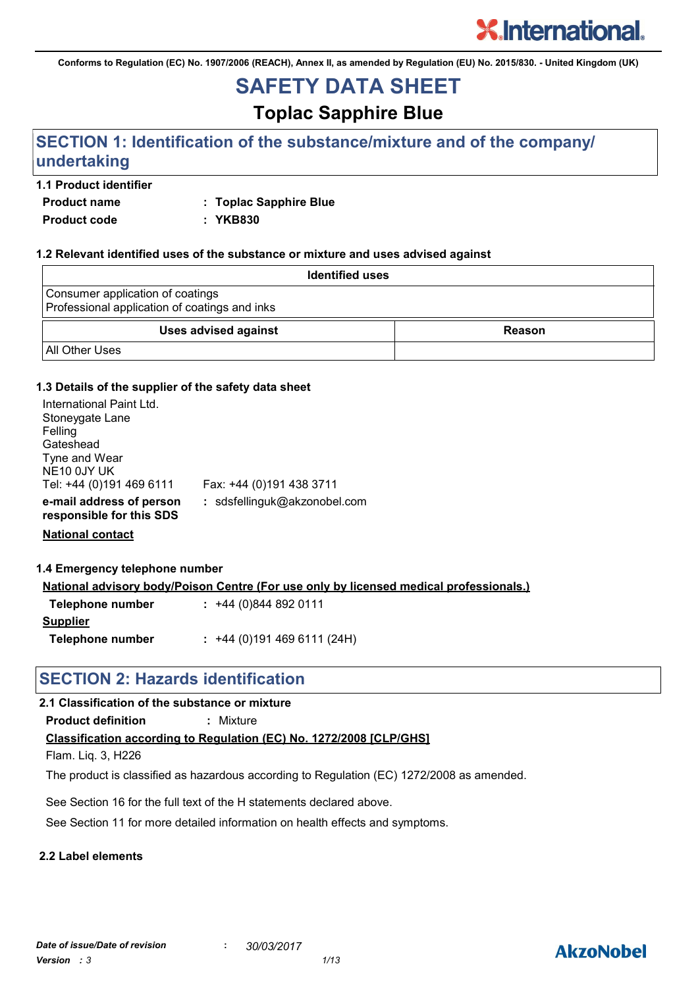**Conforms to Regulation (EC) No. 1907/2006 (REACH), Annex II, as amended by Regulation (EU) No. 2015/830. - United Kingdom (UK)**

## **SAFETY DATA SHEET**

## **Toplac Sapphire Blue**

### **SECTION 1: Identification of the substance/mixture and of the company/ undertaking**

### **1.1 Product identifier**

**Product name : Toplac Sapphire Blue**

**Product code : YKB830**

### **1.2 Relevant identified uses of the substance or mixture and uses advised against**

| <b>Identified uses</b>                                                            |               |
|-----------------------------------------------------------------------------------|---------------|
| Consumer application of coatings<br>Professional application of coatings and inks |               |
| <b>Uses advised against</b>                                                       | <b>Reason</b> |
| <b>All Other Uses</b>                                                             |               |

### **1.3 Details of the supplier of the safety data sheet**

| International Paint Ltd.<br>Stoneygate Lane<br>Felling<br>Gateshead<br>Tyne and Wear<br>NE10 0JY UK<br>Tel: +44 (0)191 469 6111 | Fax: +44 (0)191 438 3711     |
|---------------------------------------------------------------------------------------------------------------------------------|------------------------------|
| e-mail address of person<br>responsible for this SDS                                                                            | : sdsfellinguk@akzonobel.com |

**National contact**

#### **1.4 Emergency telephone number**

**National advisory body/Poison Centre (For use only by licensed medical professionals.)**

| Telephone number | $: +44(0)8448920111$      |
|------------------|---------------------------|
| <b>Supplier</b>  |                           |
| Telephone number | $: +44(0)1914696111(24H)$ |

### **SECTION 2: Hazards identification**

### **2.1 Classification of the substance or mixture**

**Product definition :** Mixture

### **Classification according to Regulation (EC) No. 1272/2008 [CLP/GHS]**

Flam. Liq. 3, H226

The product is classified as hazardous according to Regulation (EC) 1272/2008 as amended.

See Section 16 for the full text of the H statements declared above.

See Section 11 for more detailed information on health effects and symptoms.

### **2.2 Label elements**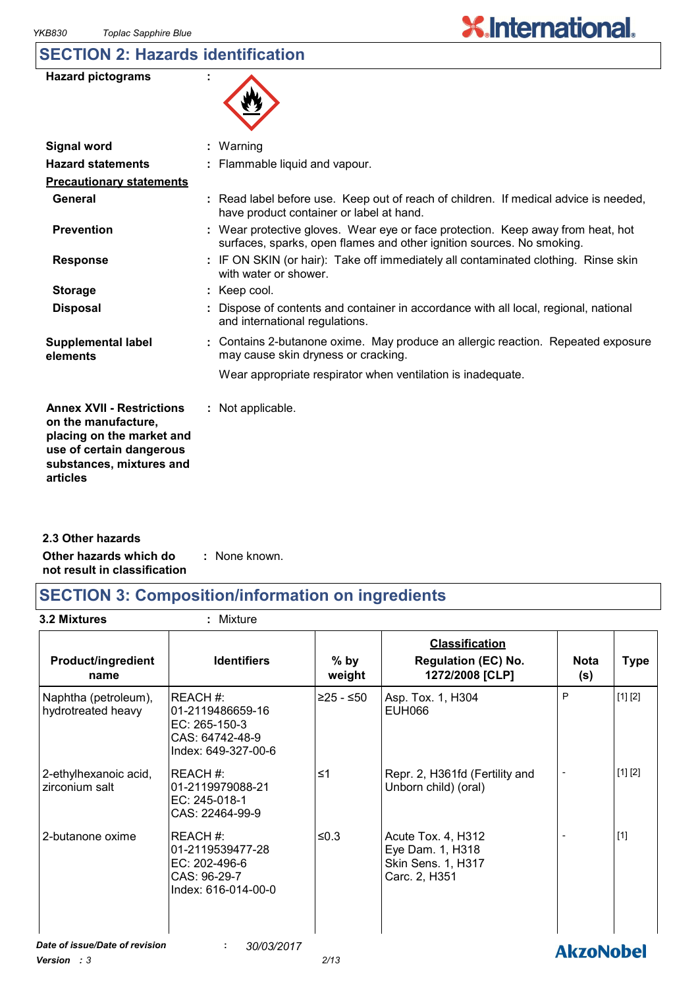### **SECTION 2: Hazards identification**

| <b>Hazard pictograms</b> |  |
|--------------------------|--|
|--------------------------|--|

| 火 |
|---|
|---|

 $\overline{\phantom{a}}$ 

| <b>Signal word</b>                                                                                                                                       | $:$ Warning                                                                                                                                              |
|----------------------------------------------------------------------------------------------------------------------------------------------------------|----------------------------------------------------------------------------------------------------------------------------------------------------------|
| <b>Hazard statements</b>                                                                                                                                 | : Flammable liquid and vapour.                                                                                                                           |
| <b>Precautionary statements</b>                                                                                                                          |                                                                                                                                                          |
| General                                                                                                                                                  | : Read label before use. Keep out of reach of children. If medical advice is needed,<br>have product container or label at hand.                         |
| <b>Prevention</b>                                                                                                                                        | : Wear protective gloves. Wear eye or face protection. Keep away from heat, hot<br>surfaces, sparks, open flames and other ignition sources. No smoking. |
| <b>Response</b>                                                                                                                                          | : IF ON SKIN (or hair): Take off immediately all contaminated clothing. Rinse skin<br>with water or shower.                                              |
| <b>Storage</b>                                                                                                                                           | : Keep cool.                                                                                                                                             |
| <b>Disposal</b>                                                                                                                                          | Dispose of contents and container in accordance with all local, regional, national<br>and international regulations.                                     |
| <b>Supplemental label</b><br>elements                                                                                                                    | : Contains 2-butanone oxime. May produce an allergic reaction. Repeated exposure<br>may cause skin dryness or cracking.                                  |
|                                                                                                                                                          | Wear appropriate respirator when ventilation is inadequate.                                                                                              |
| <b>Annex XVII - Restrictions</b><br>on the manufacture,<br>placing on the market and<br>use of certain dangerous<br>substances, mixtures and<br>articles | : Not applicable.                                                                                                                                        |

**Other hazards which do : not result in classification** : None known. **2.3 Other hazards**

## **SECTION 3: Composition/information on ingredients**

**3.2 Mixtures :** Mixture

| <b>Product/ingredient</b><br>name          | <b>Identifiers</b>                                                                     | $%$ by<br>weight | <b>Classification</b><br><b>Regulation (EC) No.</b><br>1272/2008 [CLP]        | <b>Nota</b><br>(s) | <b>Type</b> |
|--------------------------------------------|----------------------------------------------------------------------------------------|------------------|-------------------------------------------------------------------------------|--------------------|-------------|
| Naphtha (petroleum),<br>hydrotreated heavy | REACH#:<br>01-2119486659-16<br>EC: 265-150-3<br>CAS: 64742-48-9<br>Index: 649-327-00-6 | $≥25 - ≤50$      | Asp. Tox. 1, H304<br><b>EUH066</b>                                            | P                  | [1] [2]     |
| 2-ethylhexanoic acid,<br>zirconium salt    | IREACH #:<br>01-2119979088-21<br>EC: 245-018-1<br>CAS: 22464-99-9                      | ≤1               | Repr. 2, H361fd (Fertility and<br>Unborn child) (oral)                        |                    | [1] [2]     |
| 2-butanone oxime                           | IREACH #:<br>01-2119539477-28<br>EC: 202-496-6<br>CAS: 96-29-7<br>Index: 616-014-00-0  | ≤0.3             | Acute Tox. 4, H312<br>Eye Dam. 1, H318<br>Skin Sens. 1, H317<br>Carc. 2, H351 |                    | $[1]$       |
| Date of issue/Date of revision             | 30/03/2017<br>÷                                                                        |                  |                                                                               | <b>AkzoNobel</b>   |             |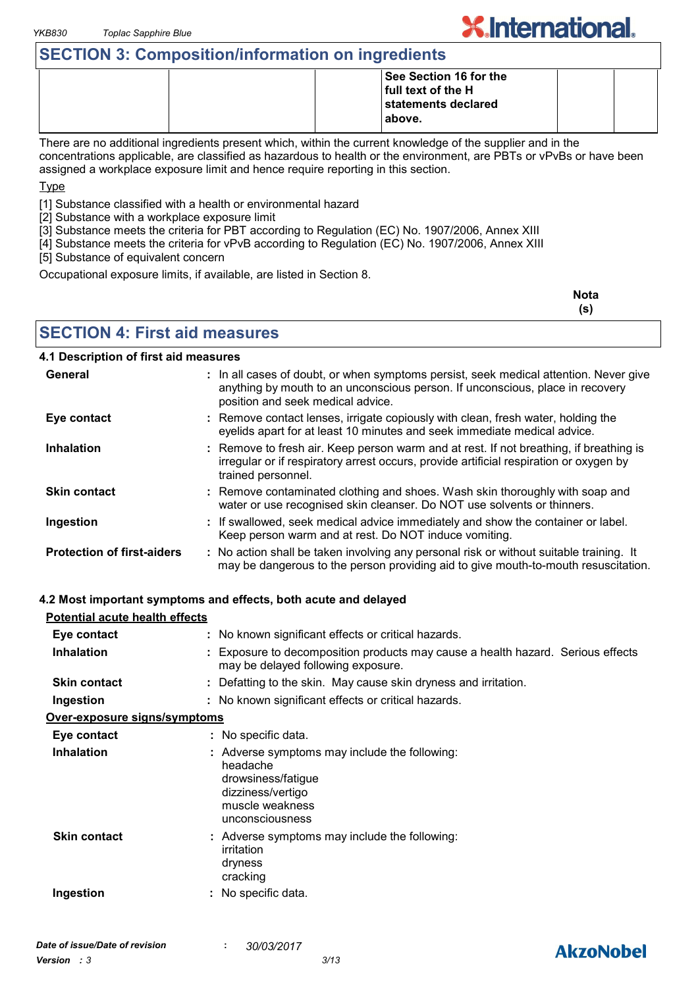### **SECTION 3: Composition/information on ingredients**

|  | See Section 16 for the |  |
|--|------------------------|--|
|  | full text of the H     |  |
|  | statements declared    |  |
|  | above.                 |  |
|  |                        |  |

There are no additional ingredients present which, within the current knowledge of the supplier and in the concentrations applicable, are classified as hazardous to health or the environment, are PBTs or vPvBs or have been assigned a workplace exposure limit and hence require reporting in this section.

Type

[1] Substance classified with a health or environmental hazard

[2] Substance with a workplace exposure limit

[3] Substance meets the criteria for PBT according to Regulation (EC) No. 1907/2006, Annex XIII

[4] Substance meets the criteria for vPvB according to Regulation (EC) No. 1907/2006, Annex XIII

[5] Substance of equivalent concern

Occupational exposure limits, if available, are listed in Section 8.

| <b>Nota</b> |
|-------------|
| (s)         |

**X.International.** 

**SECTION 4: First aid measures**

### **4.1 Description of first aid measures**

| General                           | : In all cases of doubt, or when symptoms persist, seek medical attention. Never give<br>anything by mouth to an unconscious person. If unconscious, place in recovery<br>position and seek medical advice. |
|-----------------------------------|-------------------------------------------------------------------------------------------------------------------------------------------------------------------------------------------------------------|
| Eye contact                       | : Remove contact lenses, irrigate copiously with clean, fresh water, holding the<br>eyelids apart for at least 10 minutes and seek immediate medical advice.                                                |
| <b>Inhalation</b>                 | : Remove to fresh air. Keep person warm and at rest. If not breathing, if breathing is<br>irregular or if respiratory arrest occurs, provide artificial respiration or oxygen by<br>trained personnel.      |
| <b>Skin contact</b>               | : Remove contaminated clothing and shoes. Wash skin thoroughly with soap and<br>water or use recognised skin cleanser. Do NOT use solvents or thinners.                                                     |
| Ingestion                         | : If swallowed, seek medical advice immediately and show the container or label.<br>Keep person warm and at rest. Do NOT induce vomiting.                                                                   |
| <b>Protection of first-aiders</b> | : No action shall be taken involving any personal risk or without suitable training. It<br>may be dangerous to the person providing aid to give mouth-to-mouth resuscitation.                               |

#### **4.2 Most important symptoms and effects, both acute and delayed**

| <b>Potential acute health effects</b> |                                                                                                                                            |
|---------------------------------------|--------------------------------------------------------------------------------------------------------------------------------------------|
| Eye contact                           | : No known significant effects or critical hazards.                                                                                        |
| <b>Inhalation</b>                     | : Exposure to decomposition products may cause a health hazard. Serious effects<br>may be delayed following exposure.                      |
| <b>Skin contact</b>                   | : Defatting to the skin. May cause skin dryness and irritation.                                                                            |
| Ingestion                             | : No known significant effects or critical hazards.                                                                                        |
| Over-exposure signs/symptoms          |                                                                                                                                            |
| Eye contact                           | : No specific data.                                                                                                                        |
| <b>Inhalation</b>                     | : Adverse symptoms may include the following:<br>headache<br>drowsiness/fatigue<br>dizziness/vertigo<br>muscle weakness<br>unconsciousness |
| <b>Skin contact</b>                   | : Adverse symptoms may include the following:<br>irritation<br>dryness<br>cracking                                                         |
| Ingestion                             | : No specific data.                                                                                                                        |

### **AkzoNobel**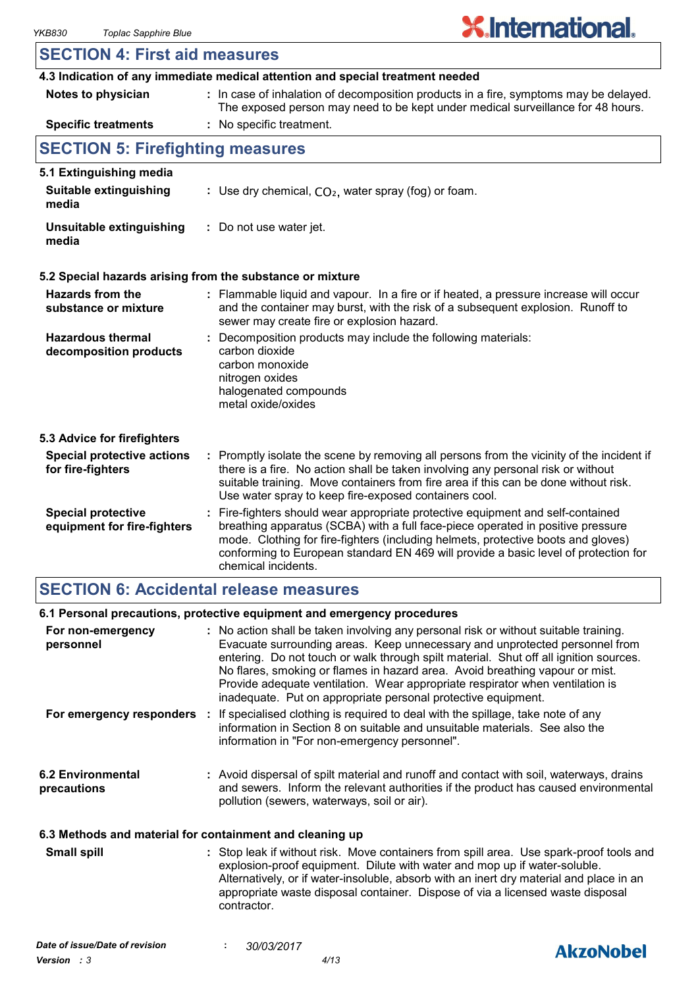### **SECTION 4: First aid measures**

|                                                          | 4.3 Indication of any immediate medical attention and special treatment needed                                                                                                                                                                                                                                                                                        |
|----------------------------------------------------------|-----------------------------------------------------------------------------------------------------------------------------------------------------------------------------------------------------------------------------------------------------------------------------------------------------------------------------------------------------------------------|
| Notes to physician                                       | : In case of inhalation of decomposition products in a fire, symptoms may be delayed.<br>The exposed person may need to be kept under medical surveillance for 48 hours.                                                                                                                                                                                              |
| <b>Specific treatments</b>                               | : No specific treatment.                                                                                                                                                                                                                                                                                                                                              |
| <b>SECTION 5: Firefighting measures</b>                  |                                                                                                                                                                                                                                                                                                                                                                       |
| 5.1 Extinguishing media                                  |                                                                                                                                                                                                                                                                                                                                                                       |
| <b>Suitable extinguishing</b><br>media                   | : Use dry chemical, $CO2$ , water spray (fog) or foam.                                                                                                                                                                                                                                                                                                                |
| Unsuitable extinguishing<br>media                        | : Do not use water jet.                                                                                                                                                                                                                                                                                                                                               |
|                                                          | 5.2 Special hazards arising from the substance or mixture                                                                                                                                                                                                                                                                                                             |
| <b>Hazards from the</b><br>substance or mixture          | : Flammable liquid and vapour. In a fire or if heated, a pressure increase will occur<br>and the container may burst, with the risk of a subsequent explosion. Runoff to<br>sewer may create fire or explosion hazard.                                                                                                                                                |
| <b>Hazardous thermal</b><br>decomposition products       | Decomposition products may include the following materials:<br>carbon dioxide<br>carbon monoxide<br>nitrogen oxides<br>halogenated compounds<br>metal oxide/oxides                                                                                                                                                                                                    |
| 5.3 Advice for firefighters                              |                                                                                                                                                                                                                                                                                                                                                                       |
| <b>Special protective actions</b><br>for fire-fighters   | : Promptly isolate the scene by removing all persons from the vicinity of the incident if<br>there is a fire. No action shall be taken involving any personal risk or without<br>suitable training. Move containers from fire area if this can be done without risk.<br>Use water spray to keep fire-exposed containers cool.                                         |
| <b>Special protective</b><br>equipment for fire-fighters | : Fire-fighters should wear appropriate protective equipment and self-contained<br>breathing apparatus (SCBA) with a full face-piece operated in positive pressure<br>mode. Clothing for fire-fighters (including helmets, protective boots and gloves)<br>conforming to European standard EN 469 will provide a basic level of protection for<br>chemical incidents. |

### **SECTION 6: Accidental release measures**

#### **6.2 Environmental precautions** Avoid dispersal of spilt material and runoff and contact with soil, waterways, drains **:** and sewers. Inform the relevant authorities if the product has caused environmental pollution (sewers, waterways, soil or air). Stop leak if without risk. Move containers from spill area. Use spark-proof tools and explosion-proof equipment. Dilute with water and mop up if water-soluble. Alternatively, or if water-insoluble, absorb with an inert dry material and place in an **Small spill : 6.3 Methods and material for containment and cleaning up 6.1 Personal precautions, protective equipment and emergency procedures For non-emergency personnel :** No action shall be taken involving any personal risk or without suitable training. **For emergency responders** : If specialised clothing is required to deal with the spillage, take note of any Evacuate surrounding areas. Keep unnecessary and unprotected personnel from entering. Do not touch or walk through spilt material. Shut off all ignition sources. No flares, smoking or flames in hazard area. Avoid breathing vapour or mist. Provide adequate ventilation. Wear appropriate respirator when ventilation is inadequate. Put on appropriate personal protective equipment. information in Section 8 on suitable and unsuitable materials. See also the information in "For non-emergency personnel".

appropriate waste disposal container. Dispose of via a licensed waste disposal

contractor.

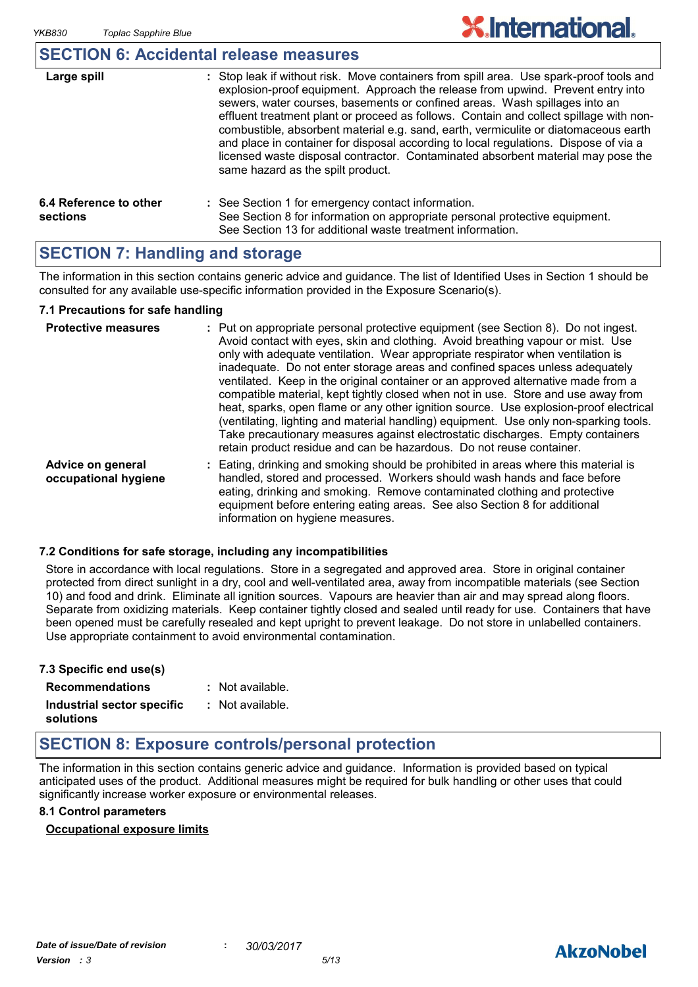### **SECTION 6: Accidental release measures**

| Large spill                        | : Stop leak if without risk. Move containers from spill area. Use spark-proof tools and<br>explosion-proof equipment. Approach the release from upwind. Prevent entry into<br>sewers, water courses, basements or confined areas. Wash spillages into an<br>effluent treatment plant or proceed as follows. Contain and collect spillage with non-<br>combustible, absorbent material e.g. sand, earth, vermiculite or diatomaceous earth<br>and place in container for disposal according to local regulations. Dispose of via a<br>licensed waste disposal contractor. Contaminated absorbent material may pose the<br>same hazard as the spilt product. |
|------------------------------------|------------------------------------------------------------------------------------------------------------------------------------------------------------------------------------------------------------------------------------------------------------------------------------------------------------------------------------------------------------------------------------------------------------------------------------------------------------------------------------------------------------------------------------------------------------------------------------------------------------------------------------------------------------|
| 6.4 Reference to other<br>sections | : See Section 1 for emergency contact information.<br>See Section 8 for information on appropriate personal protective equipment.<br>See Section 13 for additional waste treatment information.                                                                                                                                                                                                                                                                                                                                                                                                                                                            |

### **SECTION 7: Handling and storage**

The information in this section contains generic advice and guidance. The list of Identified Uses in Section 1 should be consulted for any available use-specific information provided in the Exposure Scenario(s).

#### **7.1 Precautions for safe handling**

| <b>Protective measures</b>                | : Put on appropriate personal protective equipment (see Section 8). Do not ingest.<br>Avoid contact with eyes, skin and clothing. Avoid breathing vapour or mist. Use<br>only with adequate ventilation. Wear appropriate respirator when ventilation is<br>inadequate. Do not enter storage areas and confined spaces unless adequately<br>ventilated. Keep in the original container or an approved alternative made from a<br>compatible material, kept tightly closed when not in use. Store and use away from<br>heat, sparks, open flame or any other ignition source. Use explosion-proof electrical<br>(ventilating, lighting and material handling) equipment. Use only non-sparking tools.<br>Take precautionary measures against electrostatic discharges. Empty containers<br>retain product residue and can be hazardous. Do not reuse container. |
|-------------------------------------------|----------------------------------------------------------------------------------------------------------------------------------------------------------------------------------------------------------------------------------------------------------------------------------------------------------------------------------------------------------------------------------------------------------------------------------------------------------------------------------------------------------------------------------------------------------------------------------------------------------------------------------------------------------------------------------------------------------------------------------------------------------------------------------------------------------------------------------------------------------------|
| Advice on general<br>occupational hygiene | : Eating, drinking and smoking should be prohibited in areas where this material is<br>handled, stored and processed. Workers should wash hands and face before<br>eating, drinking and smoking. Remove contaminated clothing and protective<br>equipment before entering eating areas. See also Section 8 for additional<br>information on hygiene measures.                                                                                                                                                                                                                                                                                                                                                                                                                                                                                                  |

#### **7.2 Conditions for safe storage, including any incompatibilities**

Store in accordance with local regulations. Store in a segregated and approved area. Store in original container protected from direct sunlight in a dry, cool and well-ventilated area, away from incompatible materials (see Section 10) and food and drink. Eliminate all ignition sources. Vapours are heavier than air and may spread along floors. Separate from oxidizing materials. Keep container tightly closed and sealed until ready for use. Containers that have been opened must be carefully resealed and kept upright to prevent leakage. Do not store in unlabelled containers. Use appropriate containment to avoid environmental contamination.

| 7.3 Specific end use(s)    |                  |
|----------------------------|------------------|
| <b>Recommendations</b>     | : Not available. |
| Industrial sector specific | : Not available. |
| solutions                  |                  |

### **SECTION 8: Exposure controls/personal protection**

The information in this section contains generic advice and guidance. Information is provided based on typical anticipated uses of the product. Additional measures might be required for bulk handling or other uses that could significantly increase worker exposure or environmental releases.

#### **8.1 Control parameters**

#### **Occupational exposure limits**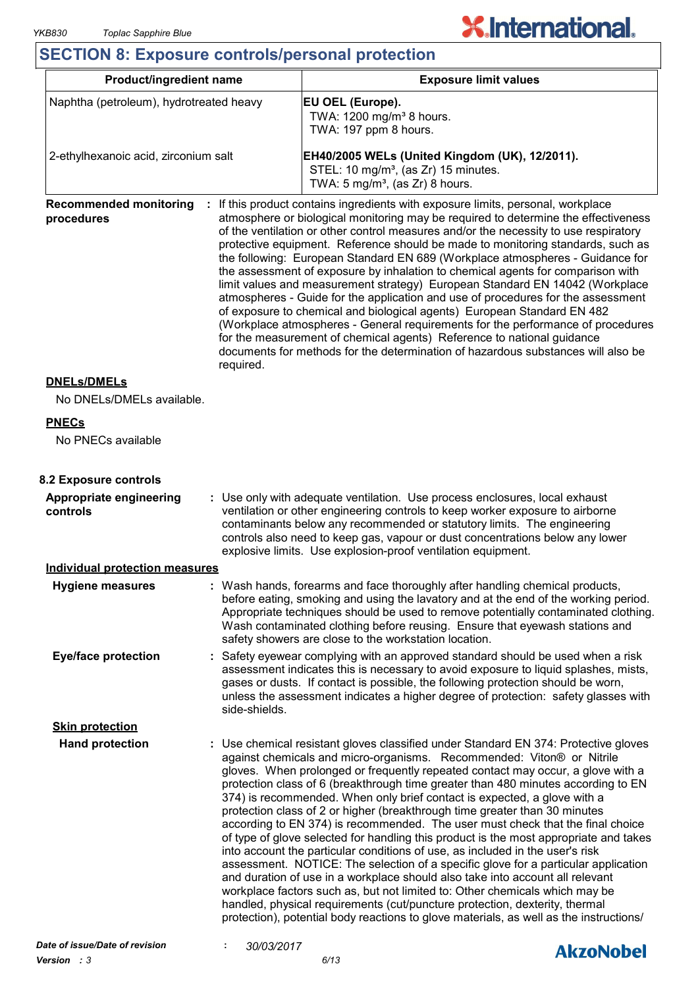### **SECTION 8: Exposure controls/personal protection**

| <b>Product/ingredient name</b>                           |               | <b>Exposure limit values</b>                                                                                                                                                                                                                                                                                                                                                                                                                                                                                                                                                                                                                                                                                                                                                                                                                                                                                                                                                                                                                                                                                                                                                              |  |  |
|----------------------------------------------------------|---------------|-------------------------------------------------------------------------------------------------------------------------------------------------------------------------------------------------------------------------------------------------------------------------------------------------------------------------------------------------------------------------------------------------------------------------------------------------------------------------------------------------------------------------------------------------------------------------------------------------------------------------------------------------------------------------------------------------------------------------------------------------------------------------------------------------------------------------------------------------------------------------------------------------------------------------------------------------------------------------------------------------------------------------------------------------------------------------------------------------------------------------------------------------------------------------------------------|--|--|
| Naphtha (petroleum), hydrotreated heavy                  |               | EU OEL (Europe).<br>TWA: 1200 mg/m <sup>3</sup> 8 hours.<br>TWA: 197 ppm 8 hours.                                                                                                                                                                                                                                                                                                                                                                                                                                                                                                                                                                                                                                                                                                                                                                                                                                                                                                                                                                                                                                                                                                         |  |  |
| 2-ethylhexanoic acid, zirconium salt                     |               | EH40/2005 WELs (United Kingdom (UK), 12/2011).<br>STEL: 10 mg/m <sup>3</sup> , (as Zr) 15 minutes.<br>TWA: $5 \text{ mg/m}^3$ , (as Zr) 8 hours.                                                                                                                                                                                                                                                                                                                                                                                                                                                                                                                                                                                                                                                                                                                                                                                                                                                                                                                                                                                                                                          |  |  |
| <b>Recommended monitoring</b><br>procedures<br>required. |               | If this product contains ingredients with exposure limits, personal, workplace<br>atmosphere or biological monitoring may be required to determine the effectiveness<br>of the ventilation or other control measures and/or the necessity to use respiratory<br>protective equipment. Reference should be made to monitoring standards, such as<br>the following: European Standard EN 689 (Workplace atmospheres - Guidance for<br>the assessment of exposure by inhalation to chemical agents for comparison with<br>limit values and measurement strategy) European Standard EN 14042 (Workplace<br>atmospheres - Guide for the application and use of procedures for the assessment<br>of exposure to chemical and biological agents) European Standard EN 482<br>(Workplace atmospheres - General requirements for the performance of procedures<br>for the measurement of chemical agents) Reference to national guidance<br>documents for methods for the determination of hazardous substances will also be                                                                                                                                                                       |  |  |
| <b>DNELs/DMELs</b><br>No DNELs/DMELs available.          |               |                                                                                                                                                                                                                                                                                                                                                                                                                                                                                                                                                                                                                                                                                                                                                                                                                                                                                                                                                                                                                                                                                                                                                                                           |  |  |
| <b>PNECs</b>                                             |               |                                                                                                                                                                                                                                                                                                                                                                                                                                                                                                                                                                                                                                                                                                                                                                                                                                                                                                                                                                                                                                                                                                                                                                                           |  |  |
| No PNECs available                                       |               |                                                                                                                                                                                                                                                                                                                                                                                                                                                                                                                                                                                                                                                                                                                                                                                                                                                                                                                                                                                                                                                                                                                                                                                           |  |  |
| 8.2 Exposure controls                                    |               |                                                                                                                                                                                                                                                                                                                                                                                                                                                                                                                                                                                                                                                                                                                                                                                                                                                                                                                                                                                                                                                                                                                                                                                           |  |  |
| Appropriate engineering<br>controls                      |               | : Use only with adequate ventilation. Use process enclosures, local exhaust<br>ventilation or other engineering controls to keep worker exposure to airborne<br>contaminants below any recommended or statutory limits. The engineering<br>controls also need to keep gas, vapour or dust concentrations below any lower<br>explosive limits. Use explosion-proof ventilation equipment.                                                                                                                                                                                                                                                                                                                                                                                                                                                                                                                                                                                                                                                                                                                                                                                                  |  |  |
| <b>Individual protection measures</b>                    |               |                                                                                                                                                                                                                                                                                                                                                                                                                                                                                                                                                                                                                                                                                                                                                                                                                                                                                                                                                                                                                                                                                                                                                                                           |  |  |
| <b>Hygiene measures</b>                                  |               | : Wash hands, forearms and face thoroughly after handling chemical products,<br>before eating, smoking and using the lavatory and at the end of the working period.<br>Appropriate techniques should be used to remove potentially contaminated clothing.<br>Wash contaminated clothing before reusing. Ensure that eyewash stations and<br>safety showers are close to the workstation location.                                                                                                                                                                                                                                                                                                                                                                                                                                                                                                                                                                                                                                                                                                                                                                                         |  |  |
| <b>Eye/face protection</b>                               | side-shields. | : Safety eyewear complying with an approved standard should be used when a risk<br>assessment indicates this is necessary to avoid exposure to liquid splashes, mists,<br>gases or dusts. If contact is possible, the following protection should be worn,<br>unless the assessment indicates a higher degree of protection: safety glasses with                                                                                                                                                                                                                                                                                                                                                                                                                                                                                                                                                                                                                                                                                                                                                                                                                                          |  |  |
| <b>Skin protection</b>                                   |               |                                                                                                                                                                                                                                                                                                                                                                                                                                                                                                                                                                                                                                                                                                                                                                                                                                                                                                                                                                                                                                                                                                                                                                                           |  |  |
| <b>Hand protection</b>                                   |               | : Use chemical resistant gloves classified under Standard EN 374: Protective gloves<br>against chemicals and micro-organisms. Recommended: Viton® or Nitrile<br>gloves. When prolonged or frequently repeated contact may occur, a glove with a<br>protection class of 6 (breakthrough time greater than 480 minutes according to EN<br>374) is recommended. When only brief contact is expected, a glove with a<br>protection class of 2 or higher (breakthrough time greater than 30 minutes<br>according to EN 374) is recommended. The user must check that the final choice<br>of type of glove selected for handling this product is the most appropriate and takes<br>into account the particular conditions of use, as included in the user's risk<br>assessment. NOTICE: The selection of a specific glove for a particular application<br>and duration of use in a workplace should also take into account all relevant<br>workplace factors such as, but not limited to: Other chemicals which may be<br>handled, physical requirements (cut/puncture protection, dexterity, thermal<br>protection), potential body reactions to glove materials, as well as the instructions/ |  |  |

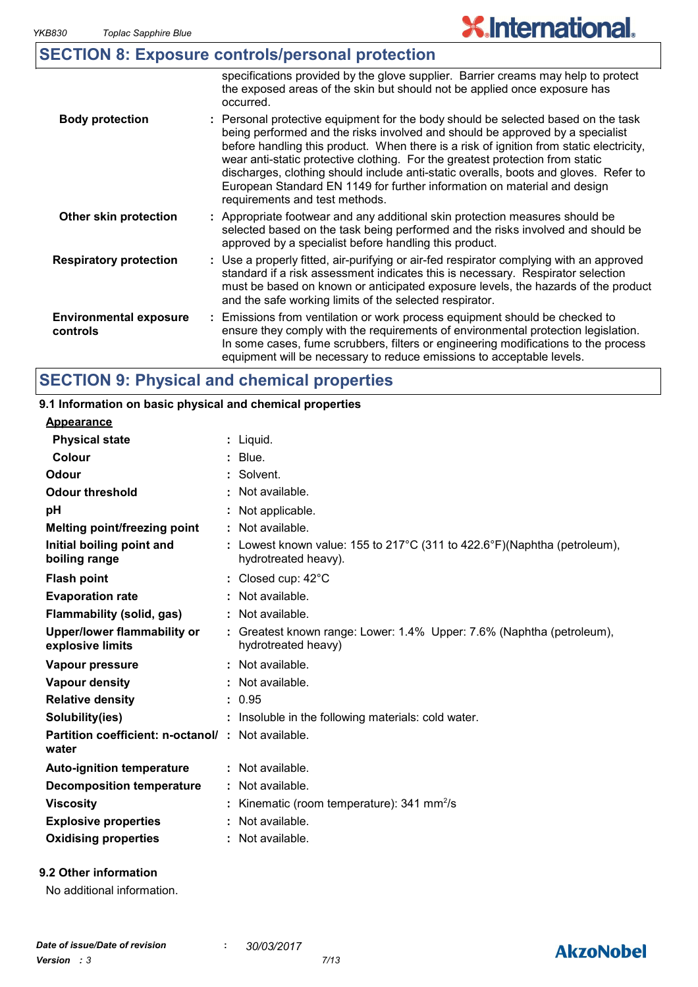|                                           | <b>SECTION 8: Exposure controls/personal protection</b>                                                                                                                                                                                                                                                                                                                                                                                                                                                                                              |
|-------------------------------------------|------------------------------------------------------------------------------------------------------------------------------------------------------------------------------------------------------------------------------------------------------------------------------------------------------------------------------------------------------------------------------------------------------------------------------------------------------------------------------------------------------------------------------------------------------|
|                                           | specifications provided by the glove supplier. Barrier creams may help to protect<br>the exposed areas of the skin but should not be applied once exposure has<br>occurred.                                                                                                                                                                                                                                                                                                                                                                          |
| <b>Body protection</b>                    | : Personal protective equipment for the body should be selected based on the task<br>being performed and the risks involved and should be approved by a specialist<br>before handling this product. When there is a risk of ignition from static electricity,<br>wear anti-static protective clothing. For the greatest protection from static<br>discharges, clothing should include anti-static overalls, boots and gloves. Refer to<br>European Standard EN 1149 for further information on material and design<br>requirements and test methods. |
| Other skin protection                     | : Appropriate footwear and any additional skin protection measures should be<br>selected based on the task being performed and the risks involved and should be<br>approved by a specialist before handling this product.                                                                                                                                                                                                                                                                                                                            |
| <b>Respiratory protection</b>             | : Use a properly fitted, air-purifying or air-fed respirator complying with an approved<br>standard if a risk assessment indicates this is necessary. Respirator selection<br>must be based on known or anticipated exposure levels, the hazards of the product<br>and the safe working limits of the selected respirator.                                                                                                                                                                                                                           |
| <b>Environmental exposure</b><br>controls | : Emissions from ventilation or work process equipment should be checked to<br>ensure they comply with the requirements of environmental protection legislation.<br>In some cases, fume scrubbers, filters or engineering modifications to the process<br>equipment will be necessary to reduce emissions to acceptable levels.                                                                                                                                                                                                                      |

## **SECTION 9: Physical and chemical properties**

### **9.1 Information on basic physical and chemical properties**

#### **Appearance**

| <b>Physical state</b>                                              | : Liquid.                                                                                        |
|--------------------------------------------------------------------|--------------------------------------------------------------------------------------------------|
| Colour                                                             | $:$ Blue.                                                                                        |
| Odour                                                              | : Solvent.                                                                                       |
| <b>Odour threshold</b>                                             | : Not available.                                                                                 |
| pH                                                                 | : Not applicable.                                                                                |
| Melting point/freezing point                                       | : Not available.                                                                                 |
| Initial boiling point and<br>boiling range                         | : Lowest known value: 155 to 217°C (311 to 422.6°F)(Naphtha (petroleum),<br>hydrotreated heavy). |
| <b>Flash point</b>                                                 | : Closed cup: 42°C                                                                               |
| <b>Evaporation rate</b>                                            | : Not available.                                                                                 |
| Flammability (solid, gas)                                          | : Not available.                                                                                 |
| Upper/lower flammability or<br>explosive limits                    | : Greatest known range: Lower: 1.4% Upper: 7.6% (Naphtha (petroleum),<br>hydrotreated heavy)     |
| Vapour pressure                                                    | $:$ Not available.                                                                               |
| Vapour density                                                     | : Not available.                                                                                 |
| <b>Relative density</b>                                            | : 0.95                                                                                           |
| Solubility(ies)                                                    | : Insoluble in the following materials: cold water.                                              |
| <b>Partition coefficient: n-octanol/ : Not available.</b><br>water |                                                                                                  |
| <b>Auto-ignition temperature</b>                                   | $:$ Not available.                                                                               |
| <b>Decomposition temperature</b>                                   | $:$ Not available.                                                                               |
| <b>Viscosity</b>                                                   | Kinematic (room temperature): 341 mm <sup>2</sup> /s                                             |
| <b>Explosive properties</b>                                        | : Not available.                                                                                 |
| <b>Oxidising properties</b>                                        | : Not available.                                                                                 |
|                                                                    |                                                                                                  |

### **9.2 Other information**

No additional information.

### **AkzoNobel**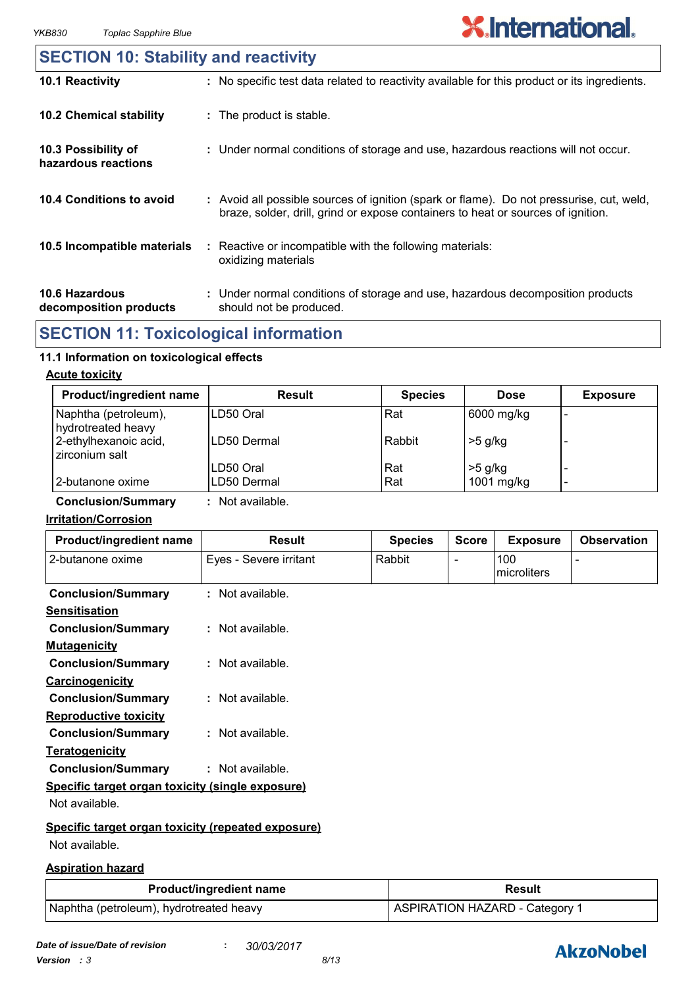### **10.6 Hazardous decomposition products 10.4 Conditions to avoid** : Avoid all possible sources of ignition (spark or flame). Do not pressurise, cut, weld, braze, solder, drill, grind or expose containers to heat or sources of ignition. Under normal conditions of storage and use, hazardous decomposition products **:** should not be produced. **10.2 Chemical stability** : Reactive or incompatible with the following materials: oxidizing materials **: 10.5 Incompatible materials : 10.3 Possibility of hazardous reactions :** Under normal conditions of storage and use, hazardous reactions will not occur. **SECTION 10: Stability and reactivity 10.1 Reactivity :** No specific test data related to reactivity available for this product or its ingredients.

### **SECTION 11: Toxicological information**

### **11.1 Information on toxicological effects**

#### **Acute toxicity**

| <b>Product/ingredient name</b>             | Result      | <b>Species</b> | <b>Dose</b> | <b>Exposure</b> |
|--------------------------------------------|-------------|----------------|-------------|-----------------|
| Naphtha (petroleum),<br>hydrotreated heavy | ILD50 Oral  | Rat            | 6000 mg/kg  |                 |
| 2-ethylhexanoic acid,<br>zirconium salt    | LD50 Dermal | Rabbit         | $>5$ g/kg   |                 |
|                                            | LD50 Oral   | Rat            | $>5$ g/kg   |                 |
| 2-butanone oxime                           | LD50 Dermal | Rat            | 1001 mg/kg  | -               |

**Conclusion/Summary :** Not available.

#### **Irritation/Corrosion**

| Product/ingredient name                            | Result                 | <b>Species</b> | <b>Score</b>   | <b>Exposure</b>    | <b>Observation</b> |
|----------------------------------------------------|------------------------|----------------|----------------|--------------------|--------------------|
| 2-butanone oxime                                   | Eyes - Severe irritant | Rabbit         | $\blacksquare$ | 100<br>microliters |                    |
| <b>Conclusion/Summary</b>                          | : Not available.       |                |                |                    |                    |
| <b>Sensitisation</b>                               |                        |                |                |                    |                    |
| <b>Conclusion/Summary</b>                          | $:$ Not available.     |                |                |                    |                    |
| <b>Mutagenicity</b>                                |                        |                |                |                    |                    |
| <b>Conclusion/Summary</b>                          | : Not available.       |                |                |                    |                    |
| Carcinogenicity                                    |                        |                |                |                    |                    |
| <b>Conclusion/Summary</b>                          | $:$ Not available.     |                |                |                    |                    |
| <b>Reproductive toxicity</b>                       |                        |                |                |                    |                    |
| <b>Conclusion/Summary</b>                          | $:$ Not available.     |                |                |                    |                    |
| <b>Teratogenicity</b>                              |                        |                |                |                    |                    |
| <b>Conclusion/Summary</b>                          | : Not available.       |                |                |                    |                    |
| Specific target organ toxicity (single exposure)   |                        |                |                |                    |                    |
| Not available.                                     |                        |                |                |                    |                    |
| Specific target organ toxicity (repeated exposure) |                        |                |                |                    |                    |
| Not available.                                     |                        |                |                |                    |                    |

#### **Aspiration hazard**

| <b>Product/ingredient name</b>          | <b>Result</b>                         |
|-----------------------------------------|---------------------------------------|
| Naphtha (petroleum), hydrotreated heavy | <b>ASPIRATION HAZARD - Category 1</b> |

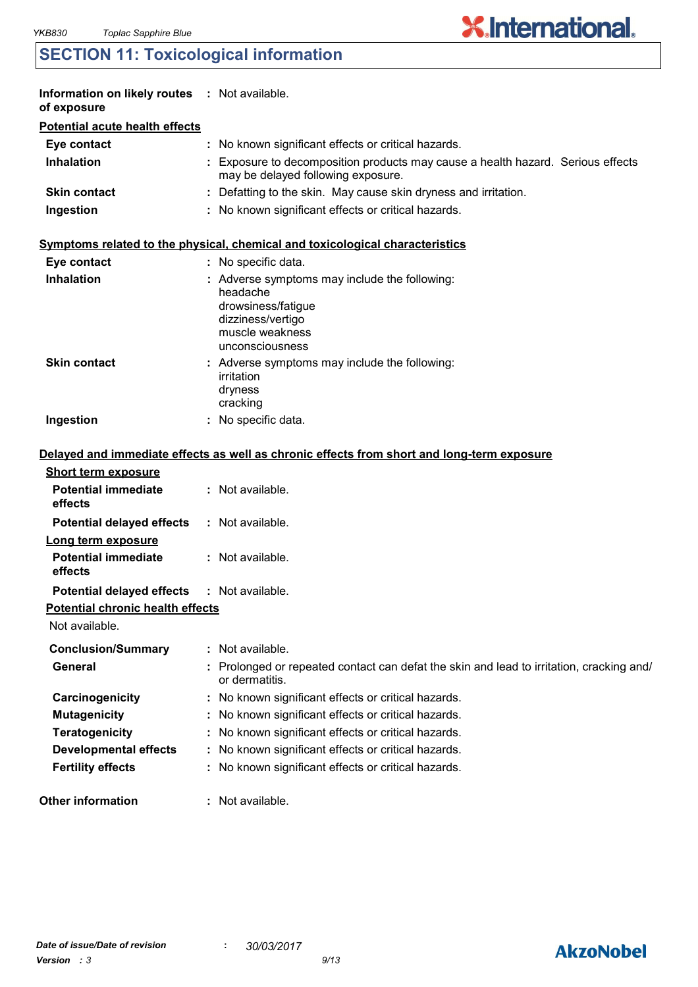### **SECTION 11: Toxicological information**

| <b>Information on likely routes : Not available.</b><br>of exposure |                                                                                                                       |
|---------------------------------------------------------------------|-----------------------------------------------------------------------------------------------------------------------|
| <b>Potential acute health effects</b>                               |                                                                                                                       |
| Eye contact                                                         | : No known significant effects or critical hazards.                                                                   |
| <b>Inhalation</b>                                                   | : Exposure to decomposition products may cause a health hazard. Serious effects<br>may be delayed following exposure. |
| <b>Skin contact</b>                                                 | : Defatting to the skin. May cause skin dryness and irritation.                                                       |
| Ingestion                                                           | : No known significant effects or critical hazards.                                                                   |

**X.International.** 

#### **Symptoms related to the physical, chemical and toxicological characteristics**

| Eye contact         | : No specific data.                                                                                                                        |
|---------------------|--------------------------------------------------------------------------------------------------------------------------------------------|
| <b>Inhalation</b>   | : Adverse symptoms may include the following:<br>headache<br>drowsiness/fatique<br>dizziness/vertigo<br>muscle weakness<br>unconsciousness |
| <b>Skin contact</b> | : Adverse symptoms may include the following:<br>irritation<br>dryness<br>cracking                                                         |
| Ingestion           | No specific data.                                                                                                                          |

#### **Delayed and immediate effects as well as chronic effects from short and long-term exposure**

| <b>Short term exposure</b>                        |                                                                                                            |
|---------------------------------------------------|------------------------------------------------------------------------------------------------------------|
| <b>Potential immediate</b><br>effects             | $:$ Not available.                                                                                         |
| <b>Potential delayed effects</b>                  | : Not available.                                                                                           |
| Long term exposure                                |                                                                                                            |
| <b>Potential immediate</b><br>effects             | : Not available.                                                                                           |
| <b>Potential delayed effects : Not available.</b> |                                                                                                            |
| <b>Potential chronic health effects</b>           |                                                                                                            |
| Not available.                                    |                                                                                                            |
| <b>Conclusion/Summary</b>                         | : Not available.                                                                                           |
| General                                           | : Prolonged or repeated contact can defat the skin and lead to irritation, cracking and/<br>or dermatitis. |
| Carcinogenicity                                   | : No known significant effects or critical hazards.                                                        |
| <b>Mutagenicity</b>                               | : No known significant effects or critical hazards.                                                        |
| <b>Teratogenicity</b>                             | : No known significant effects or critical hazards.                                                        |
| <b>Developmental effects</b>                      | : No known significant effects or critical hazards.                                                        |
| <b>Fertility effects</b>                          | : No known significant effects or critical hazards.                                                        |
| <b>Other information</b>                          | : Not available.                                                                                           |

### **AkzoNobel**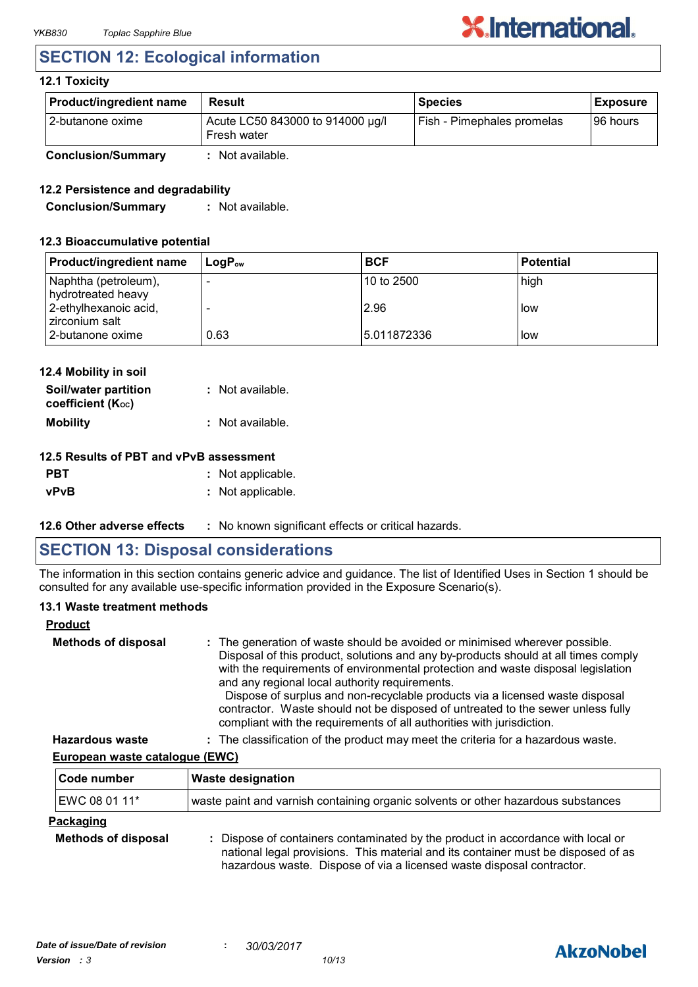### **SECTION 12: Ecological information**

### **12.1 Toxicity**

| <b>Product/ingredient name</b> | <b>Result</b>                                   | <b>Species</b>             | <b>Exposure</b> |
|--------------------------------|-------------------------------------------------|----------------------------|-----------------|
| l 2-butanone oxime             | Acute LC50 843000 to 914000 µg/l<br>Fresh water | Fish - Pimephales promelas | 196 hours       |
| <b>Conclusion/Summary</b>      | : Not available.                                |                            |                 |

### **12.2 Persistence and degradability**

**Conclusion/Summary :** Not available.

#### **12.3 Bioaccumulative potential**

| <b>Product/ingredient name</b>             | $\mathsf{LoaP}_\mathsf{ow}$ | <b>BCF</b>   | <b>Potential</b> |
|--------------------------------------------|-----------------------------|--------------|------------------|
| Naphtha (petroleum),<br>hydrotreated heavy |                             | 10 to 2500   | high             |
| 2-ethylhexanoic acid,<br>zirconium salt    |                             | 2.96         | low              |
| 2-butanone oxime                           | 0.63                        | 15.011872336 | low              |

| 12.4 Mobility in soil                     |                  |
|-------------------------------------------|------------------|
| Soil/water partition<br>coefficient (Koc) | : Not available. |
| <b>Mobility</b>                           | : Not available. |
|                                           |                  |

### **12.5 Results of PBT and vPvB assessment**

- **PBT :** Not applicable.
- **vPvB :** Not applicable.
- **12.6 Other adverse effects** : No known significant effects or critical hazards.

### **SECTION 13: Disposal considerations**

The information in this section contains generic advice and guidance. The list of Identified Uses in Section 1 should be consulted for any available use-specific information provided in the Exposure Scenario(s).

#### **13.1 Waste treatment methods**

| <b>Product</b>             |                                                                                                                                                                                                                                                                                                                                                                                                                                                                                                                                                     |
|----------------------------|-----------------------------------------------------------------------------------------------------------------------------------------------------------------------------------------------------------------------------------------------------------------------------------------------------------------------------------------------------------------------------------------------------------------------------------------------------------------------------------------------------------------------------------------------------|
| <b>Methods of disposal</b> | : The generation of waste should be avoided or minimised wherever possible.<br>Disposal of this product, solutions and any by-products should at all times comply<br>with the requirements of environmental protection and waste disposal legislation<br>and any regional local authority requirements.<br>Dispose of surplus and non-recyclable products via a licensed waste disposal<br>contractor. Waste should not be disposed of untreated to the sewer unless fully<br>compliant with the requirements of all authorities with jurisdiction. |
| <b>Hazardous waste</b>     | : The classification of the product may meet the criteria for a hazardous waste.                                                                                                                                                                                                                                                                                                                                                                                                                                                                    |

#### **European waste catalogue (EWC)**

| Code number                                    | <b>Waste designation</b>                                                                                                                                                                                                                      |  |
|------------------------------------------------|-----------------------------------------------------------------------------------------------------------------------------------------------------------------------------------------------------------------------------------------------|--|
| EWC 08 01 11*                                  | waste paint and varnish containing organic solvents or other hazardous substances                                                                                                                                                             |  |
| <b>Packaging</b><br><b>Methods of disposal</b> | : Dispose of containers contaminated by the product in accordance with local or<br>national legal provisions. This material and its container must be disposed of as<br>hazardous waste. Dispose of via a licensed waste disposal contractor. |  |

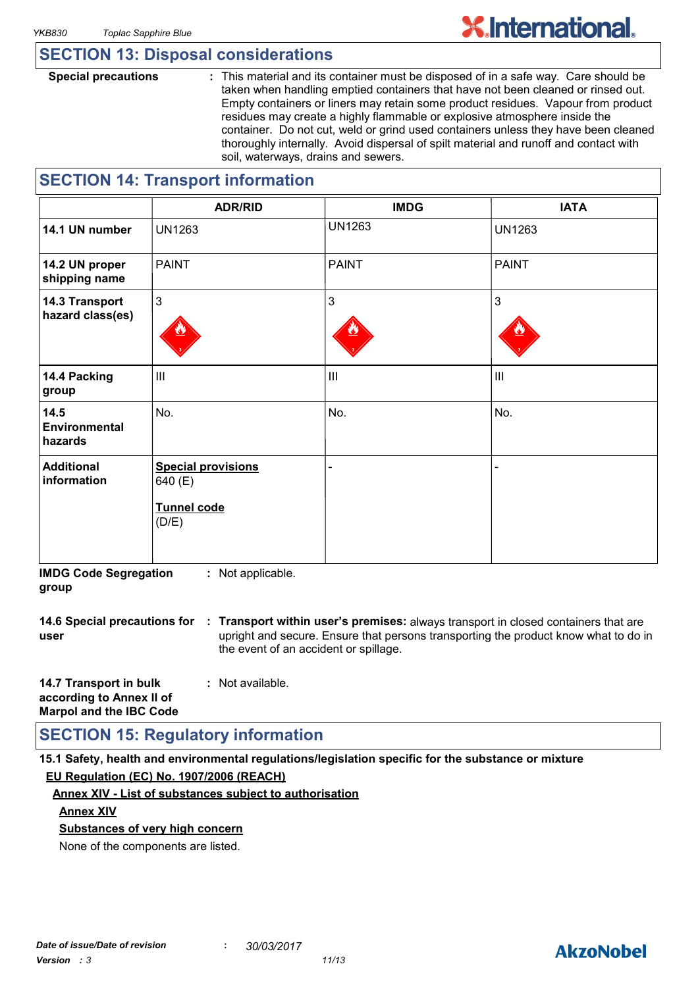### **SECTION 13: Disposal considerations**

**Special precautions :** This material and its container must be disposed of in a safe way. Care should be taken when handling emptied containers that have not been cleaned or rinsed out. Empty containers or liners may retain some product residues. Vapour from product residues may create a highly flammable or explosive atmosphere inside the container. Do not cut, weld or grind used containers unless they have been cleaned thoroughly internally. Avoid dispersal of spilt material and runoff and contact with soil, waterways, drains and sewers.

### **SECTION 14: Transport information**

|                                    | <b>ADR/RID</b>                                                      | <b>IMDG</b>   | <b>IATA</b>    |
|------------------------------------|---------------------------------------------------------------------|---------------|----------------|
| 14.1 UN number                     | <b>UN1263</b>                                                       | <b>UN1263</b> | <b>UN1263</b>  |
| 14.2 UN proper<br>shipping name    | <b>PAINT</b>                                                        | <b>PAINT</b>  | <b>PAINT</b>   |
| 14.3 Transport<br>hazard class(es) | $\mathfrak{Z}$                                                      | 3             | $\mathbf{3}$   |
| 14.4 Packing<br>group              | $\mathbf{III}$                                                      | III           | $\mathbf{III}$ |
| 14.5<br>Environmental<br>hazards   | No.                                                                 | No.           | No.            |
| <b>Additional</b><br>information   | <b>Special provisions</b><br>640 (E)<br><b>Tunnel code</b><br>(D/E) |               |                |

**IMDG Code Segregation group :** Not applicable.

**14.6 Special precautions for : Transport within user's premises:** always transport in closed containers that are **user** upright and secure. Ensure that persons transporting the product know what to do in the event of an accident or spillage.

| 14.7 Transport in bulk         | : Not available. |
|--------------------------------|------------------|
| according to Annex II of       |                  |
| <b>Marpol and the IBC Code</b> |                  |

### **SECTION 15: Regulatory information**

**15.1 Safety, health and environmental regulations/legislation specific for the substance or mixture EU Regulation (EC) No. 1907/2006 (REACH)**

#### **Annex XIV - List of substances subject to authorisation**

#### **Annex XIV**

**Substances of very high concern**

None of the components are listed.

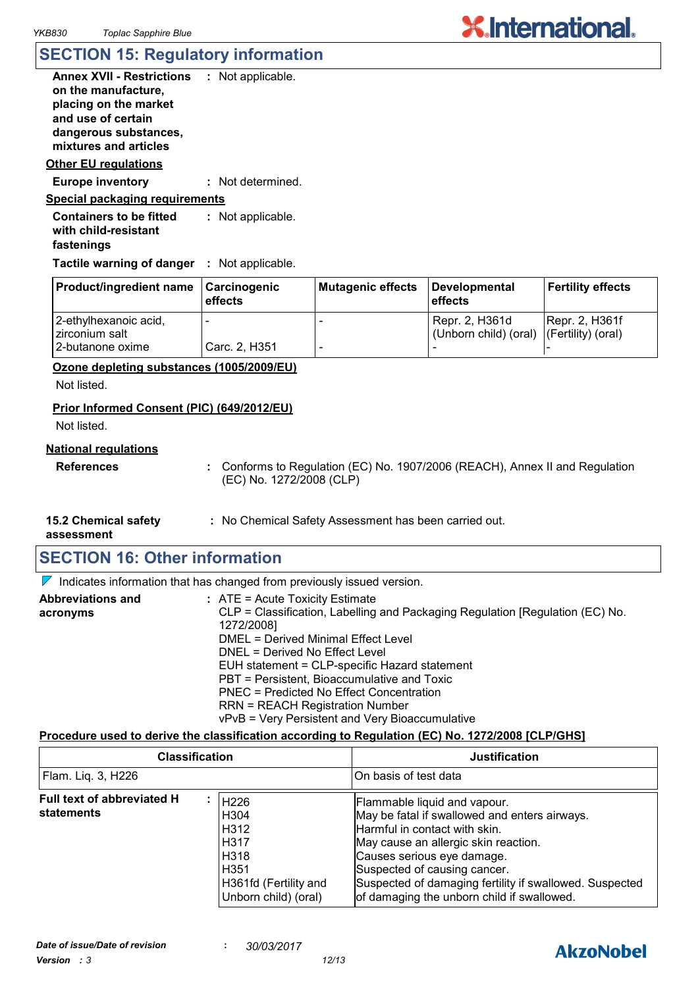| <b>Annex XVII - Restrictions</b><br>on the manufacture,<br>placing on the market<br>and use of certain<br>dangerous substances, | : Not applicable. |
|---------------------------------------------------------------------------------------------------------------------------------|-------------------|
| mixtures and articles                                                                                                           |                   |
| Other EU regulations                                                                                                            |                   |
| <b>Europe inventory</b>                                                                                                         | : Not determined. |
| Special packaging reguirements                                                                                                  |                   |
| Cantainara ta ha fittad                                                                                                         | . Not opplicable  |

**Containers to be fitted with child-resistant fastenings** Not applicable. **:**

**Tactile warning of danger : Not applicable.** 

| <b>Product/ingredient name</b>          | Carcinogenic<br>effects | Mutagenic effects | Developmental<br>effects                                   | Fertility effects |
|-----------------------------------------|-------------------------|-------------------|------------------------------------------------------------|-------------------|
| 2-ethylhexanoic acid,<br>zirconium salt | -                       |                   | Repr. 2, H361d<br>(Unborn child) (oral) (Fertility) (oral) | [Repr. 2, H361f]  |
| 12-butanone oxime                       | Carc. 2, H351           |                   |                                                            |                   |

#### **Ozone depleting substances (1005/2009/EU)**

Not listed.

### **Prior Informed Consent (PIC) (649/2012/EU)**

Not listed.

#### **National regulations**

**References :** Conforms to Regulation (EC) No. 1907/2006 (REACH), Annex II and Regulation (EC) No. 1272/2008 (CLP)

**15.2 Chemical safety** 

**:** No Chemical Safety Assessment has been carried out.

**assessment**

### **SECTION 16: Other information**

 $\nabla$  Indicates information that has changed from previously issued version.

| <b>Abbreviations and</b> | $:$ ATE = Acute Toxicity Estimate                                             |
|--------------------------|-------------------------------------------------------------------------------|
| acronyms                 | CLP = Classification, Labelling and Packaging Regulation [Regulation (EC) No. |
|                          | 1272/2008]                                                                    |
|                          | DMEL = Derived Minimal Effect Level                                           |
|                          | DNEL = Derived No Effect Level                                                |
|                          | EUH statement = CLP-specific Hazard statement                                 |
|                          | PBT = Persistent, Bioaccumulative and Toxic                                   |
|                          | PNEC = Predicted No Effect Concentration                                      |
|                          | <b>RRN = REACH Registration Number</b>                                        |
|                          | vPvB = Very Persistent and Very Bioaccumulative                               |

### **Procedure used to derive the classification according to Regulation (EC) No. 1272/2008 [CLP/GHS]**

| <b>Classification</b><br>Flam. Liq. 3, H226 |  | <b>Justification</b><br>On basis of test data |  |
|---------------------------------------------|--|-----------------------------------------------|--|
|                                             |  |                                               |  |